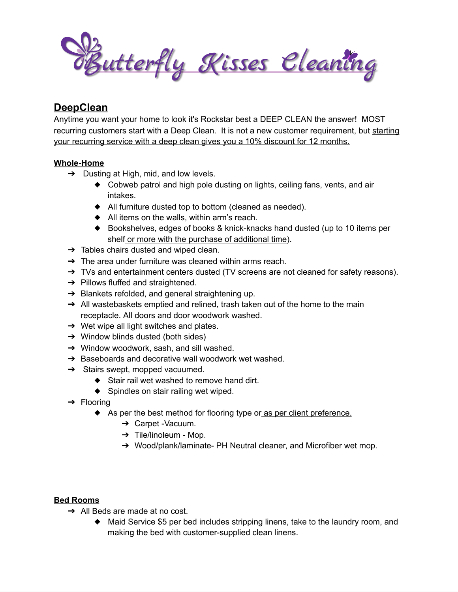Butterfly Kisses Eleaning

# **DeepClean**

Anytime you want your home to look it's Rockstar best a DEEP CLEAN the answer! MOST recurring customers start with a Deep Clean. It is not a new customer requirement, but starting your recurring service with a deep clean gives you a 10% discount for 12 months.

## **Whole-Home**

- $\rightarrow$  Dusting at High, mid, and low levels.
	- ◆ Cobweb patrol and high pole dusting on lights, ceiling fans, vents, and air intakes.
	- ◆ All furniture dusted top to bottom (cleaned as needed).
	- ◆ All items on the walls, within arm's reach.
	- ◆ Bookshelves, edges of books & knick-knacks hand dusted (up to 10 items per shelf or more with the purchase of additional time).
- $\rightarrow$  Tables chairs dusted and wiped clean.
- $\rightarrow$  The area under furniture was cleaned within arms reach.
- $\rightarrow$  TVs and entertainment centers dusted (TV screens are not cleaned for safety reasons).
- $\rightarrow$  Pillows fluffed and straightened.
- **→** Blankets refolded, and general straightening up.
- $\rightarrow$  All wastebaskets emptied and relined, trash taken out of the home to the main receptacle. All doors and door woodwork washed.
- $\rightarrow$  Wet wipe all light switches and plates.
- ➔ Window blinds dusted (both sides)
- ➔ Window woodwork, sash, and sill washed.
- ➔ Baseboards and decorative wall woodwork wet washed.
- $\rightarrow$  Stairs swept, mopped vacuumed.
	- ◆ Stair rail wet washed to remove hand dirt.
	- ◆ Spindles on stair railing wet wiped.
- ➔ Flooring
	- ◆ As per the best method for flooring type or as per client preference.
		- ➔ Carpet -Vacuum.
		- $\rightarrow$  Tile/linoleum Mop.
		- → Wood/plank/laminate- PH Neutral cleaner, and Microfiber wet mop.

#### **Bed Rooms**

- $\rightarrow$  All Beds are made at no cost.
	- ◆ Maid Service \$5 per bed includes stripping linens, take to the laundry room, and making the bed with customer-supplied clean linens.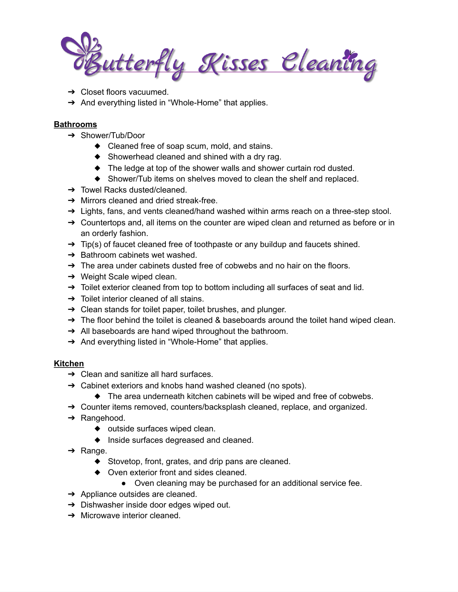utterfly Kisses Eleaning

- $\rightarrow$  Closet floors vacuumed.
- → And everything listed in "Whole-Home" that applies.

## **Bathrooms**

- ➔ Shower/Tub/Door
	- ◆ Cleaned free of soap scum, mold, and stains.
	- ◆ Showerhead cleaned and shined with a dry rag.
	- ◆ The ledge at top of the shower walls and shower curtain rod dusted.
	- ◆ Shower/Tub items on shelves moved to clean the shelf and replaced.
- ➔ Towel Racks dusted/cleaned.
- ➔ Mirrors cleaned and dried streak-free.
- $\rightarrow$  Lights, fans, and vents cleaned/hand washed within arms reach on a three-step stool.
- $\rightarrow$  Countertops and, all items on the counter are wiped clean and returned as before or in an orderly fashion.
- $\rightarrow$  Tip(s) of faucet cleaned free of toothpaste or any buildup and faucets shined.
- **→** Bathroom cabinets wet washed.
- $\rightarrow$  The area under cabinets dusted free of cobwebs and no hair on the floors.
- $\rightarrow$  Weight Scale wiped clean.
- → Toilet exterior cleaned from top to bottom including all surfaces of seat and lid.
- $\rightarrow$  Toilet interior cleaned of all stains.
- $\rightarrow$  Clean stands for toilet paper, toilet brushes, and plunger.
- $\rightarrow$  The floor behind the toilet is cleaned & baseboards around the toilet hand wiped clean.
- → All baseboards are hand wiped throughout the bathroom.
- → And everything listed in "Whole-Home" that applies.

## **Kitchen**

- $\rightarrow$  Clean and sanitize all hard surfaces.
- ➔ Cabinet exteriors and knobs hand washed cleaned (no spots).
	- ◆ The area underneath kitchen cabinets will be wiped and free of cobwebs.
- → Counter items removed, counters/backsplash cleaned, replace, and organized.
- ➔ Rangehood.
	- ◆ outside surfaces wiped clean.
	- ◆ Inside surfaces degreased and cleaned.
- $\rightarrow$  Range.
	- ◆ Stovetop, front, grates, and drip pans are cleaned.
	- ◆ Oven exterior front and sides cleaned.
		- Oven cleaning may be purchased for an additional service fee.
- $\rightarrow$  Appliance outsides are cleaned.
- ➔ Dishwasher inside door edges wiped out.
- $\rightarrow$  Microwave interior cleaned.